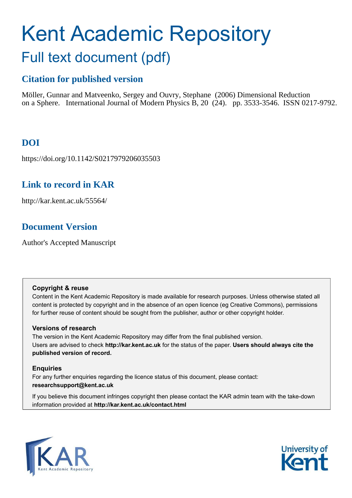# Kent Academic Repository Full text document (pdf)

## **Citation for published version**

Möller, Gunnar and Matveenko, Sergey and Ouvry, Stephane (2006) Dimensional Reduction on a Sphere. International Journal of Modern Physics B, 20 (24). pp. 3533-3546. ISSN 0217-9792.

# **DOI**

https://doi.org/10.1142/S0217979206035503

# **Link to record in KAR**

http://kar.kent.ac.uk/55564/

## **Document Version**

Author's Accepted Manuscript

### **Copyright & reuse**

Content in the Kent Academic Repository is made available for research purposes. Unless otherwise stated all content is protected by copyright and in the absence of an open licence (eg Creative Commons), permissions for further reuse of content should be sought from the publisher, author or other copyright holder.

## **Versions of research**

The version in the Kent Academic Repository may differ from the final published version. Users are advised to check **http://kar.kent.ac.uk** for the status of the paper. **Users should always cite the published version of record.**

## **Enquiries**

For any further enquiries regarding the licence status of this document, please contact: **researchsupport@kent.ac.uk**

If you believe this document infringes copyright then please contact the KAR admin team with the take-down information provided at **http://kar.kent.ac.uk/contact.html**



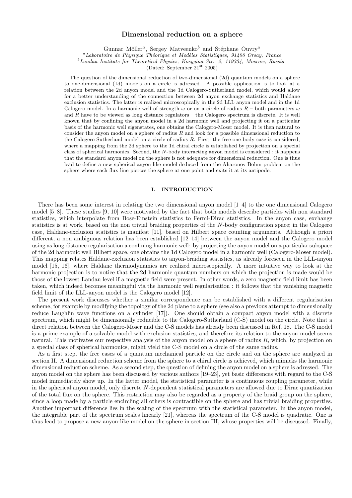#### Dimensional reduction on a sphere

Gunnar Möller<sup>a</sup>, Sergey Matveenko<sup>b</sup> and Stéphane Ouvry<sup>a</sup>

<sup>a</sup>Laboratoire de Physique Théorique et Modèles Statistiques, 91406 Orsay, France

 $^{b}$ Landau Institute for Theoretical Physics, Kosygina Str. 2, 119334, Moscow, Russia

(Dated: September  $21<sup>st</sup> 2005$ )

The question of the dimensional reduction of two-dimensional (2d) quantum models on a sphere to one-dimensional (1d) models on a circle is adressed. A possible application is to look at a relation between the 2d anyon model and the 1d Calogero-Sutherland model, which would allow for a better understanding of the connection between 2d anyon exchange statistics and Haldane exclusion statistics. The latter is realized microscopically in the 2d LLL anyon model and in the 1d Calogero model. In a harmonic well of strength  $\omega$  or on a circle of radius  $R$  – both parameters  $\omega$ and  $R$  have to be viewed as long distance regulators – the Calogero spectrum is discrete. It is well known that by confining the anyon model in a 2d harmonic well and projecting it on a particular basis of the harmonic well eigenstates, one obtains the Calogero-Moser model. It is then natural to consider the anyon model on a sphere of radius  $R$  and look for a possible dimensional reduction to the Calogero-Sutherland model on a circle of radius R. First, the free one-body case is considered, where a mapping from the 2d sphere to the 1d chiral circle is established by projection on a special class of spherical harmonics. Second, the N-body interacting anyon model is considered : it happens that the standard anyon model on the sphere is not adequate for dimensional reduction. One is thus lead to define a new spherical anyon-like model deduced from the Aharonov-Bohm problem on the sphere where each flux line pierces the sphere at one point and exits it at its antipode.

#### I. INTRODUCTION

There has been some interest in relating the two dimensional anyon model [1–4] to the one dimensional Calogero model [5–8]. These studies [9, 10] were motivated by the fact that both models describe particles with non standard statistics, which interpolate from Bose-Einstein statistics to Fermi-Dirac statistics. In the anyon case, exchange statistics is at work, based on the non trivial braiding properties of the N-body configuration space; in the Calogero case, Haldane-exclusion statistics is manifest [11], based on Hilbert space counting arguments. Although a priori different, a non ambiguous relation has been established [12–14] between the anyon model and the Calogero model using as long distance regularisation a confining harmonic well: by projecting the anyon model on a particular subspace of the 2d harmonic well Hilbert space, one obtains the 1d Calogero model in a harmonic well (Calogero-Moser model). This mapping relates Haldane-exclusion statistics to anyon-braiding statistics, as already foreseen in the LLL-anyon model [15, 16], where Haldane thermodynamics are realized microscopically. A more intuitive way to look at the harmonic projection is to notice that the 2d harmonic quantum numbers on which the projection is made would be those of the lowest Landau level if a magnetic field were present. In other words, a zero magnetic field limit has been taken, which indeed becomes meaningful via the harmonic well regularisation : it follows that the vanishing magnetic field limit of the LLL-anyon model is the Calogero model [12].

The present work discusses whether a similar correspondence can be established with a different regularisation scheme, for example by modifying the topology of the 2d plane to a sphere (see also a previous attempt to dimensionally reduce Laughlin wave functions on a cylinder [17]). One should obtain a compact anyon model with a discrete spectrum, which might be dimensionally reducible to the Calogero-Sutherland (C-S) model on the circle. Note that a direct relation between the Calogero-Moser and the C-S models has already been discussed in Ref. 18. The C-S model is a prime example of a solvable model with exclusion statistics, and therefore its relation to the anyon model seems natural. This motivates our respective analysis of the anyon model on a sphere of radius R, which, by projection on a special class of spherical harmonics, might yield the C-S model on a circle of the same radius.

As a first step, the free cases of a quantum mechanical particle on the circle and on the sphere are analyzed in section II. A dimensional reduction scheme from the sphere to a chiral circle is achieved, which mimicks the harmonic dimensional reduction scheme. As a second step, the question of defining the anyon model on a sphere is adressed. The anyon model on the sphere has been discussed by various authors [19–23], yet basic differences with regard to the C-S model immediately show up. In the latter model, the statistical parameter is a continuous coupling parameter, while in the spherical anyon model, only discrete N-dependent statistical parameters are allowed due to Dirac quantization of the total flux on the sphere. This restriction may also be regarded as a property of the braid group on the sphere, since a loop made by a particle encircling all others is contractible on the sphere and has trivial braiding properties. Another important difference lies in the scaling of the spectrum with the statistical parameter. In the anyon model, the integrable part of the spectrum scales linearly [21], whereas the spectrum of the C-S model is quadratic. One is thus lead to propose a new anyon-like model on the sphere in section III, whose properties will be discussed. Finally,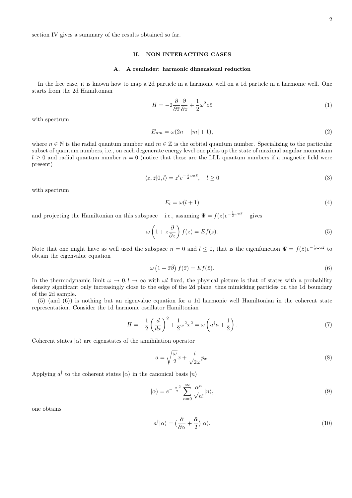section IV gives a summary of the results obtained so far.

#### II. NON INTERACTING CASES

#### A. A reminder: harmonic dimensional reduction

In the free case, it is known how to map a 2d particle in a harmonic well on a 1d particle in a harmonic well. One starts from the 2d Hamiltonian

$$
H = -2\frac{\partial}{\partial \bar{z}}\frac{\partial}{\partial z} + \frac{1}{2}\omega^2 z\bar{z}
$$
 (1)

with spectrum

$$
E_{nm} = \omega(2n + |m| + 1),\tag{2}
$$

where  $n \in \mathbb{N}$  is the radial quantum number and  $m \in \mathbb{Z}$  is the orbital quantum number. Specializing to the particular subset of quantum numbers, i.e., on each degenerate energy level one picks up the state of maximal angular momentum  $l \geq 0$  and radial quantum number  $n = 0$  (notice that these are the LLL quantum numbers if a magnetic field were present)

$$
\langle z, \bar{z} | 0, l \rangle = z^l e^{-\frac{1}{2}\omega z \bar{z}}, \quad l \ge 0
$$
\n
$$
(3)
$$

with spectrum

$$
E_l = \omega(l+1) \tag{4}
$$

and projecting the Hamiltonian on this subspace – i.e., assuming  $\Psi = f(z)e^{-\frac{1}{2}\omega z\bar{z}}$  – gives

$$
\omega \left( 1 + z \frac{\partial}{\partial z} \right) f(z) = E f(z). \tag{5}
$$

Note that one might have as well used the subspace  $n = 0$  and  $l \leq 0$ , that is the eigenfunction  $\bar{\Psi} = f(\bar{z})e^{-\frac{1}{2}\omega z\bar{z}}$  to obtain the eigenvalue equation

$$
\omega \left( 1 + \bar{z}\bar{\partial} \right) f(\bar{z}) = Ef(\bar{z}).\tag{6}
$$

In the thermodynamic limit  $\omega \to 0, l \to \infty$  with  $\omega l$  fixed, the physical picture is that of states with a probability density significant only increasingly close to the edge of the 2d plane, thus mimicking particles on the 1d boundary of the 2d sample.

(5) (and (6)) is nothing but an eigenvalue equation for a 1d harmonic well Hamiltonian in the coherent state representation. Consider the 1d harmonic oscillator Hamiltonian

$$
H = -\frac{1}{2}\left(\frac{d}{dx}\right)^2 + \frac{1}{2}\omega^2 x^2 = \omega\left(a^\dagger a + \frac{1}{2}\right). \tag{7}
$$

Coherent states  $|\alpha\rangle$  are eigenstates of the annihilation operator

$$
a = \sqrt{\frac{\omega}{2}}x + \frac{i}{\sqrt{2\omega}}p_x.
$$
\n(8)

Applying  $a^{\dagger}$  to the coherent states  $|\alpha\rangle$  in the canonical basis  $|n\rangle$ 

$$
|\alpha\rangle = e^{-\frac{|\alpha|^2}{2}} \sum_{n=0}^{\infty} \frac{\alpha^n}{\sqrt{n!}} |n\rangle,
$$
\n(9)

one obtains

$$
a^{\dagger}|\alpha\rangle = \left(\frac{\partial}{\partial \alpha} + \frac{\bar{\alpha}}{2}\right)|\alpha\rangle. \tag{10}
$$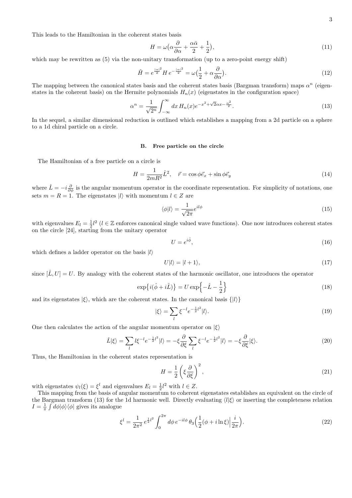This leads to the Hamiltonian in the coherent states basis

$$
H = \omega \left( \alpha \frac{\partial}{\partial \alpha} + \frac{\alpha \bar{\alpha}}{2} + \frac{1}{2} \right),\tag{11}
$$

which may be rewritten as  $(5)$  via the non-unitary transformation (up to a zero-point energy shift)

$$
\tilde{H} = e^{\frac{|\alpha|^2}{2}} H e^{-\frac{|\alpha|^2}{2}} = \omega \left(\frac{1}{2} + \alpha \frac{\partial}{\partial \alpha}\right).
$$
\n(12)

The mapping between the canonical states basis and the coherent states basis (Bargman transform) maps  $\alpha^n$  (eigenstates in the coherent basis) on the Hermite polynomials  $H_n(x)$  (eigenstates in the configuration space)

$$
\alpha^n = \frac{1}{\sqrt{2^n}} \int_{-\infty}^{\infty} dx \, H_n(x) e^{-x^2 + \sqrt{2}\alpha x - \frac{\alpha^2}{2}}.
$$
\n(13)

In the sequel, a similar dimensional reduction is outlined which establishes a mapping from a 2d particle on a sphere to a 1d chiral particle on a circle.

#### B. Free particle on the circle

The Hamiltonian of a free particle on a circle is

$$
H = \frac{1}{2mR^2}\hat{L}^2, \quad \vec{r} = \cos\phi \vec{e}_x + \sin\phi \vec{e}_y \tag{14}
$$

where  $\hat{L} = -i\frac{\partial}{\partial \phi}$  is the angular momentum operator in the coordinate representation. For simplicity of notations, one sets  $m = R = 1$ . The eigenstates  $|l\rangle$  with momentum  $l \in \mathbb{Z}$  are

$$
\langle \phi | l \rangle = \frac{1}{\sqrt{2\pi}} e^{il\phi} \tag{15}
$$

with eigenvalues  $E_l = \frac{1}{2}l^2$  ( $l \in \mathbb{Z}$  enforces canonical single valued wave functions). One now introduces coherent states on the circle [24], starting from the unitary operator

$$
U = e^{i\hat{\phi}},\tag{16}
$$

which defines a ladder operator on the basis  $|l\rangle$ 

$$
U|l\rangle = |l+1\rangle,\tag{17}
$$

since  $[\hat{L}, U] = U$ . By analogy with the coherent states of the harmonic oscillator, one introduces the operator

$$
\exp\{i(\hat{\phi} + i\hat{L})\} = U \exp\{-\hat{L} - \frac{1}{2}\}\tag{18}
$$

and its eigenstates  $|\xi\rangle$ , which are the coherent states. In the canonical basis  $\{|\ell\rangle\}$ 

$$
|\xi\rangle = \sum_{l} \xi^{-l} e^{-\frac{1}{2}l^2} |l\rangle. \tag{19}
$$

One then calculates the action of the angular momentum operator on  $|\xi\rangle$ 

$$
\hat{L}|\xi\rangle = \sum_{l} l\xi^{-l}e^{-\frac{1}{2}l^2}|l\rangle = -\xi\frac{\partial}{\partial\xi}\sum_{l}\xi^{-l}e^{-\frac{1}{2}l^2}|l\rangle = -\xi\frac{\partial}{\partial\xi}|\xi\rangle.
$$
\n(20)

Thus, the Hamiltonian in the coherent states representation is

$$
H = \frac{1}{2} \left( \xi \frac{\partial}{\partial \xi} \right)^2,\tag{21}
$$

with eigenstates  $\psi_l(\xi) = \xi^l$  and eigenvalues  $E_l = \frac{1}{2}l^2$  with  $l \in Z$ .

This mapping from the basis of angular momentum to coherent eigenstates establishes an equivalent on the circle of the Bargman transform (13) for the 1d harmonic well. Directly evaluating  $\langle l|\xi \rangle$  or inserting the completeness relation  $I = \frac{1}{\pi} \int d\phi |\phi\rangle\langle\phi|$  gives its analogue

$$
\xi^{l} = \frac{1}{2\pi^{2}} e^{\frac{1}{2}l^{2}} \int_{0}^{2\pi} d\phi \, e^{-il\phi} \, \theta_{3} \left( \frac{1}{2} (\phi + i \ln \xi) \Big| \frac{i}{2\pi} \right). \tag{22}
$$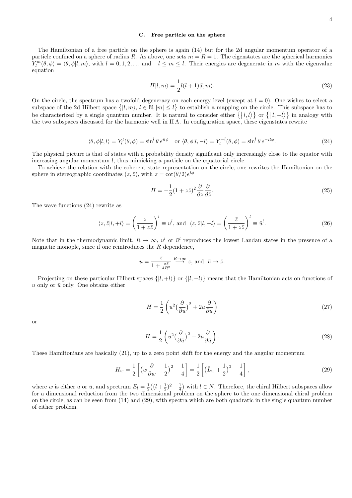#### C. Free particle on the sphere

The Hamiltonian of a free particle on the sphere is again (14) but for the 2d angular momentum operator of a particle confined on a sphere of radius R. As above, one sets  $m = R = 1$ . The eigenstates are the spherical harmonics  $Y_l^m(\theta, \phi) = \langle \theta, \phi | l, m \rangle$ , with  $l = 0, 1, 2, \dots$  and  $-l \leq m \leq l$ . Their energies are degenerate in m with the eigenvalue equation

$$
H|l,m\rangle = \frac{1}{2}l(l+1)|l,m\rangle.
$$
\n(23)

On the circle, the spectrum has a twofold degeneracy on each energy level (except at  $l = 0$ ). One wishes to select a subspace of the 2d Hilbert space  $\{|l, m\rangle, l \in \mathbb{N}, |m| \leq l\}$  to establish a mapping on the circle. This subspace has to be characterized by a single quantum number. It is natural to consider either  $\{|l, l\rangle\}$  or  $\{|l, -l\rangle\}$  in analogy with be characterized by a single quantum number. It is natural to consider either  $\iota(\iota, \iota)$  or  $\iota(\iota, -\iota)$  in alleant the two subspaces discussed for the harmonic well in IIA. In configuration space, these eigenstates

$$
\langle \theta, \phi | l, l \rangle = Y_l^l(\theta, \phi) = \sin^l \theta \, e^{il\phi} \quad \text{or } \langle \theta, \phi | l, -l \rangle = Y_l^{-l}(\theta, \phi) = \sin^l \theta \, e^{-il\phi}.\tag{24}
$$

The physical picture is that of states with a probability density significant only increasingly close to the equator with increasing angular momentum  $l$ , thus mimicking a particle on the equatorial circle.

To achieve the relation with the coherent state representation on the circle, one rewrites the Hamiltonian on the sphere in stereographic coordinates  $(z, \bar{z})$ , with  $z = \cot(\theta/2)e^{i\phi}$ 

$$
H = -\frac{1}{2}(1 + z\bar{z})^2 \frac{\partial}{\partial z} \frac{\partial}{\partial \bar{z}}.
$$
\n(25)

The wave functions (24) rewrite as

$$
\langle z, \bar{z}|l, +l \rangle = \left(\frac{z}{1+z\bar{z}}\right)^l \equiv u^l, \text{ and } \langle z, \bar{z}|l, -l \rangle = \left(\frac{\bar{z}}{1+z\bar{z}}\right)^l \equiv \bar{u}^l. \tag{26}
$$

Note that in the thermodynamic limit,  $R \to \infty$ ,  $u^l$  or  $\bar{u}^l$  reproduces the lowest Landau states in the presence of a magnetic monople, since if one reintroduces the  $R$  dependence,

$$
u = \frac{z}{1 + \frac{z\bar{z}}{4R^2}} \xrightarrow{R \to \infty} z
$$
, and  $\bar{u} \to \bar{z}$ .

Projecting on these particular Hilbert spaces  $\{|l, +l\rangle\}$  or  $\{|l, -l\rangle\}$  means that the Hamiltonian acts on functions of u only or  $\bar{u}$  only. One obtains either

$$
H = \frac{1}{2} \left( u^2 \left( \frac{\partial}{\partial u} \right)^2 + 2u \frac{\partial}{\partial u} \right) \tag{27}
$$

or

$$
H = \frac{1}{2} \left( \bar{u}^2 \left( \frac{\partial}{\partial \bar{u}} \right)^2 + 2 \bar{u} \frac{\partial}{\partial \bar{u}} \right).
$$
 (28)

These Hamiltonians are basically (21), up to a zero point shift for the energy and the angular momentum

$$
H_w = \frac{1}{2} \left[ \left( w \frac{\partial}{\partial w} + \frac{1}{2} \right)^2 - \frac{1}{4} \right] = \frac{1}{2} \left[ \left( \hat{L}_w + \frac{1}{2} \right)^2 - \frac{1}{4} \right],\tag{29}
$$

where w is either u or  $\bar{u}$ , and spectrum  $E_l = \frac{1}{2} \left( (l + \frac{1}{2})^2 - \frac{1}{4} \right)$  with  $l \in N$ . Therefore, the chiral Hilbert subspaces allow for a dimensional reduction from the two dimensional problem on the sphere to the one dimensional chiral problem on the circle, as can be seen from (14) and (29), with spectra which are both quadratic in the single quantum number of either problem.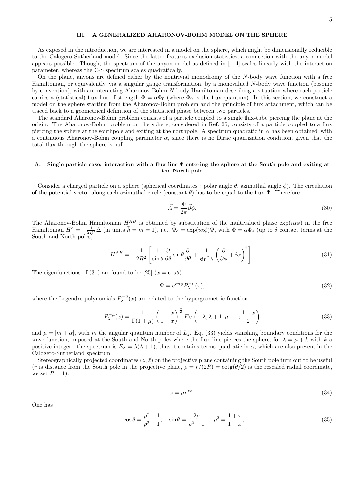#### III. A GENERALIZED AHARONOV-BOHM MODEL ON THE SPHERE

As exposed in the introduction, we are interested in a model on the sphere, which might be dimensionally reducible to the Calogero-Sutherland model. Since the latter features exclusion statistics, a connection with the anyon model appears possible. Though, the spectrum of the anyon model as defined in [1–4] scales linearly with the interaction parameter, whereas the C-S spectrum scales quadratically.

On the plane, anyons are defined either by the nontrivial monodromy of the N-body wave function with a free Hamiltonian, or equivalently, via a singular gauge transformation, by a monovalued N-body wave function (bosonic by convention), with an interacting Aharonov-Bohm N-body Hamiltonian describing a situation where each particle carries a (statistical) flux line of strength  $\Phi = \alpha \Phi_0$  (where  $\Phi_0$  is the flux quantum). In this section, we construct a model on the sphere starting from the Aharonov-Bohm problem and the principle of flux attachment, which can be traced back to a geometrical definition of the statistical phase between two particles.

The standard Aharonov-Bohm problem consists of a particle coupled to a single flux-tube piercing the plane at the origin. The Aharonov-Bohm problem on the sphere, considered in Ref. 25, consists of a particle coupled to a flux piercing the sphere at the southpole and exiting at the northpole. A spectrum quadratic in  $\alpha$  has been obtained, with a continuous Aharonov-Bohm coupling parameter  $\alpha$ , since there is no Dirac quantization condition, given that the total flux through the sphere is null.

#### A. Single particle case: interaction with a flux line Φ entering the sphere at the South pole and exiting at the North pole

Consider a charged particle on a sphere (spherical coordinates : polar angle  $\theta$ , azimuthal angle  $\phi$ ). The circulation of the potential vector along each azimuthal circle (constant  $\theta$ ) has to be equal to the flux  $\Phi$ . Therefore

$$
\vec{A} = \frac{\Phi}{2\pi} \vec{\partial}\phi. \tag{30}
$$

The Aharonov-Bohm Hamiltonian  $H^{AB}$  is obtained by substitution of the multivalued phase  $\exp(i\alpha\phi)$  in the free Hamiltonian  $H^o = -\frac{1}{2R^2}\Delta$  (in units  $\bar{h} = m = 1$ ), i.e.,  $\Psi_o = \exp(i\alpha\phi)\Psi$ , with  $\Phi = \alpha\Phi_o$  (up to  $\delta$  contact terms at the South and North poles)

$$
H^{AB} = -\frac{1}{2R^2} \left[ \frac{1}{\sin \theta} \frac{\partial}{\partial \theta} \sin \theta \frac{\partial}{\partial \theta} + \frac{1}{\sin^2 \theta} \left( \frac{\partial}{\partial \phi} + i\alpha \right)^2 \right].
$$
 (31)

The eigenfunctions of (31) are found to be [25]  $(x = \cos \theta)$ 

$$
\Psi = e^{im\phi} P_{\lambda}^{-\mu}(x),\tag{32}
$$

where the Legendre polynomials  $P_{\lambda}^{-\mu}(x)$  are related to the hypergeometric function

$$
P_{\lambda}^{-\mu}(x) = \frac{1}{\Gamma(1+\mu)} \left(\frac{1-x}{1+x}\right)^{\frac{\mu}{2}} F_H\left(-\lambda, \lambda+1; \mu+1; \frac{1-x}{2}\right)
$$
(33)

and  $\mu = |m + \alpha|$ , with m the angular quantum number of  $L_z$ . Eq. (33) yields vanishing boundary conditions for the wave function, imposed at the South and North poles where the flux line pierces the sphere, for  $\lambda = \mu + k$  with k a positive integer; the spectrum is  $E_{\lambda} = \lambda(\lambda + 1)$ , thus it contains terms quadratic in  $\alpha$ , which are also present in the Calogero-Sutherland spectrum.

Stereographically projected coordinates  $(z, \bar{z})$  on the projective plane containing the South pole turn out to be useful (r is distance from the South pole in the projective plane,  $\rho = r/(2R) = \cot(\theta/2)$  is the rescaled radial coordinate, we set  $R = 1$ :

$$
z = \rho \, e^{i\phi}.\tag{34}
$$

One has

$$
\cos \theta = \frac{\rho^2 - 1}{\rho^2 + 1}, \quad \sin \theta = \frac{2\rho}{\rho^2 + 1}, \quad \rho^2 = \frac{1+x}{1-x}, \tag{35}
$$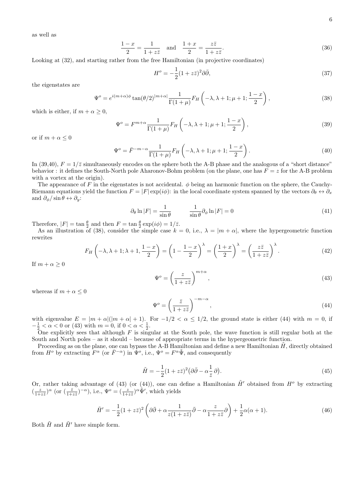as well as

$$
\frac{1-x}{2} = \frac{1}{1+z\bar{z}} \quad \text{and} \quad \frac{1+x}{2} = \frac{z\bar{z}}{1+z\bar{z}}.\tag{36}
$$

Looking at (32), and starting rather from the free Hamiltonian (in projective coordinates)

$$
H^o = -\frac{1}{2}(1 + z\bar{z})^2 \partial \bar{\partial},\tag{37}
$$

the eigenstates are

$$
\Psi^o = e^{i(m+\alpha)\phi} \tan(\theta/2)^{|m+\alpha|} \frac{1}{\Gamma(1+\mu)} F_H\left(-\lambda, \lambda+1; \mu+1; \frac{1-x}{2}\right),\tag{38}
$$

which is either, if  $m + \alpha > 0$ ,

$$
\Psi^o = F^{m+\alpha} \frac{1}{\Gamma(1+\mu)} F_H \left( -\lambda, \lambda+1; \mu+1; \frac{1-x}{2} \right),\tag{39}
$$

or if  $m + \alpha \leq 0$ 

$$
\Psi^o = \bar{F}^{-m-\alpha} \frac{1}{\Gamma(1+\mu)} F_H \left( -\lambda, \lambda+1; \mu+1; \frac{1-x}{2} \right). \tag{40}
$$

In (39,40),  $F = 1/\overline{z}$  simultaneously encodes on the sphere both the A-B phase and the analogous of a "short distance" behavior : it defines the South-North pole Aharonov-Bohm problem (on the plane, one has  $\overline{F} = z$  for the A-B problem with a vortex at the origin).

The appearance of F in the eigenstates is not accidental.  $\phi$  being an harmonic function on the sphere, the Cauchy-Riemann equations yield the function  $F = |F| \exp(i\phi)$ : in the local coordinate system spanned by the vectors  $\partial_{\theta} \leftrightarrow \partial_{x}$ and  $\partial_{\phi}/\sin \theta \leftrightarrow \partial_{y}$ :

$$
\partial_{\theta} \ln |F| = \frac{1}{\sin \theta} \qquad \frac{1}{\sin \theta} \partial_{\phi} \ln |F| = 0 \tag{41}
$$

Therefore,  $|F| = \tan \frac{\theta}{2}$  and then  $F = \tan \frac{\theta}{2} \exp(i\phi) = 1/\overline{z}$ .

As an illustration of (38), consider the simple case  $k = 0$ , i.e.,  $\lambda = |m + \alpha|$ , where the hypergeometric function rewrites

$$
F_H\left(-\lambda, \lambda+1; \lambda+1, \frac{1-x}{2}\right) = \left(1 - \frac{1-x}{2}\right)^{\lambda} = \left(\frac{1+x}{2}\right)^{\lambda} = \left(\frac{z\bar{z}}{1 + z\bar{z}}\right)^{\lambda}.
$$
\n(42)

If  $m + \alpha \geq 0$ 

$$
\Psi^o = \left(\frac{z}{1+z\bar{z}}\right)^{m+\alpha},\tag{43}
$$

whereas if  $m + \alpha \leq 0$ 

$$
\Psi^o = \left(\frac{\bar{z}}{1 + z\bar{z}}\right)^{-m-\alpha},\tag{44}
$$

with eigenvalue  $E = |m + \alpha|(|m + \alpha| + 1)$ . For  $-1/2 < \alpha \le 1/2$ , the ground state is either (44) with  $m = 0$ , if  $-\frac{1}{2} < \alpha < 0$  or (43) with  $m = 0$ , if  $0 < \alpha < \frac{1}{2}$ .

One explicitly sees that although  $F$  is singular at the South pole, the wave function is still regular both at the South and North poles – as it should – because of appropriate terms in the hypergeometric function.

Proceeding as on the plane, one can bypass the A-B Hamiltonian and define a new Hamiltonian  $H$ , directly obtained from  $H^o$  by extracting  $F^{\alpha}$  (or  $\bar{F}^{-\alpha}$ ) in  $\Psi^o$ , i.e.,  $\Psi^o = F^{\alpha} \tilde{\Psi}$ , and consequently

$$
\tilde{H} = -\frac{1}{2}(1 + z\bar{z})^2 \left(\partial \bar{\partial} - \alpha \frac{1}{\bar{z}} \partial\right). \tag{45}
$$

Or, rather taking advantage of (43) (or (44)), one can define a Hamiltonian  $\tilde{H}'$  obtained from  $H^o$  by extracting  $\left(\frac{z}{1+z\bar{z}}\right)^{\alpha}$  (or  $\left(\frac{\bar{z}}{1+z\bar{z}}\right)^{-\alpha}$ ), i.e.,  $\Psi^o = \left(\frac{z}{1+z\bar{z}}\right)^{\alpha} \tilde{\Psi}'$ , which yields

$$
\tilde{H}' = -\frac{1}{2}(1+z\bar{z})^2 \left(\partial \bar{\partial} + \alpha \frac{1}{z(1+z\bar{z})}\bar{\partial} - \alpha \frac{z}{1+z\bar{z}}\partial\right) + \frac{1}{2}\alpha(\alpha+1). \tag{46}
$$

Both  $\tilde{H}$  and  $\tilde{H}'$  have simple form.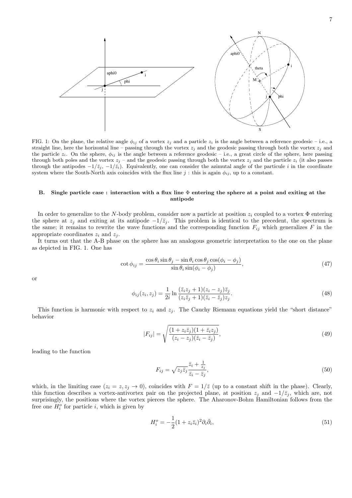

FIG. 1: On the plane, the relative angle  $\phi_{ij}$  of a vortex  $z_j$  and a particle  $z_i$  is the angle between a reference geodesic – i.e., a straight line, here the horizontal line – passing through the vortex  $z_j$  and the geodesic passing through both the vortex  $z_j$  and the particle  $z_i$ . On the sphere,  $\phi_{ij}$  is the angle between a reference geodesic – i.e., a great circle of the sphere, here passing through both poles and the vortex  $z_j$  – and the geodesic passing through both the vortex  $z_j$  and the particle  $z_i$  (it also passes through the antipodes  $-1/\bar{z}_i$ ,  $-1/\bar{z}_i$ ). Equivalently, one can consider the azimutal angle of the particule i in the coordinate system where the South-North axis coincides with the flux line j: this is again  $\phi_{ij}$ , up to a constant.

#### B. Single particle case : interaction with a flux line  $\Phi$  entering the sphere at a point and exiting at the antipode

In order to generalize to the N-body problem, consider now a particle at position  $z_i$  coupled to a vortex  $\Phi$  entering the sphere at  $z_j$  and exiting at its antipode  $-\frac{1}{\bar{z}_j}$ . This problem is identical to the precedent, the spectrum is the same; it remains to rewrite the wave functions and the corresponding function  $F_{ij}$  which generalizes F in the appropriate coordinates  $z_i$  and  $z_j$ .

It turns out that the A-B phase on the sphere has an analogous geometric interpretation to the one on the plane as depicted in FIG. 1. One has

$$
\cot \phi_{ij} = \frac{\cos \theta_i \sin \theta_j - \sin \theta_i \cos \theta_j \cos(\phi_i - \phi_j)}{\sin \theta_i \sin(\phi_i - \phi_j)},
$$
\n(47)

or

$$
\phi_{ij}(z_i, z_j) = \frac{1}{2i} \ln \frac{(\bar{z}_i z_j + 1)(z_i - z_j)\bar{z}_j}{(z_i \bar{z}_j + 1)(\bar{z}_i - \bar{z}_j)z_j}.
$$
\n(48)

This function is harmonic with respect to  $z_i$  and  $z_j$ . The Cauchy Riemann equations yield the "short distance" behavior

$$
|F_{ij}| = \sqrt{\frac{(1+z_i\bar{z}_j)(1+\bar{z}_iz_j)}{(z_i-z_j)(\bar{z}_i-\bar{z}_j)}},\tag{49}
$$

leading to the function

$$
F_{ij} = \sqrt{z_j \bar{z}_j} \frac{\bar{z}_i + \frac{1}{z_j}}{\bar{z}_i - \bar{z}_j},\tag{50}
$$

which, in the limiting case  $(z_i = z, z_j \to 0)$ , coincides with  $F = 1/\overline{z}$  (up to a constant shift in the phase). Clearly, this function describes a vortex-antivortex pair on the projected plane, at position  $z_j$  and  $-1/\bar{z}_j$ , which are, not surprisingly, the positions where the vortex pierces the sphere. The Aharonov-Bohm Hamiltonian follows from the free one  $H_i^o$  for particle *i*, which is given by

$$
H_i^o = -\frac{1}{2}(1 + z_i \bar{z}_i)^2 \partial_i \bar{\partial}_i, \tag{51}
$$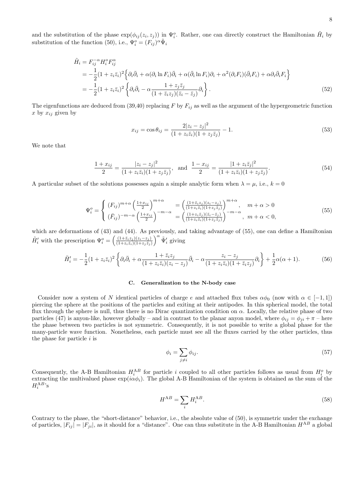and the substitution of the phase  $\exp(\phi_{ij}(z_i, z_j))$  in  $\Psi_i^o$ . Rather, one can directly construct the Hamiltonian  $\tilde{H}_i$  by substitution of the function (50), i.e.,  $\Psi_i^o = (F_{ij})^\alpha \tilde{\Psi}_i$ 

$$
\tilde{H}_i = F_{ij}^{-\alpha} H_i^o F_{ij}^{\alpha}
$$
\n
$$
= -\frac{1}{2} (1 + z_i \bar{z}_i)^2 \left\{ \partial_i \bar{\partial}_i + \alpha (\partial_i \ln F_i) \bar{\partial}_i + \alpha (\bar{\partial}_i \ln F_i) \partial_i + \alpha^2 (\partial_i F_i) (\bar{\partial}_i F_i) + \alpha \partial_i \bar{\partial}_i F_i \right\}
$$
\n
$$
= -\frac{1}{2} (1 + z_i \bar{z}_i)^2 \left\{ \partial_i \bar{\partial}_i - \alpha \frac{1 + z_j \bar{z}_j}{(1 + \bar{z}_i z_j)(\bar{z}_i - \bar{z}_j)} \partial_i \right\}.
$$
\n(52)

The eigenfunctions are deduced from (39,40) replacing F by  $F_{ij}$  as well as the argument of the hypergeometric function x by  $x_{ij}$  given by

$$
x_{ij} = \cos \theta_{ij} = \frac{2|z_i - z_j|^2}{(1 + z_i \bar{z}_i)(1 + z_j \bar{z}_j)} - 1.
$$
\n(53)

We note that

$$
\frac{1+x_{ij}}{2} = \frac{|z_i - z_j|^2}{(1+z_i\bar{z}_i)(1+z_j\bar{z}_j)}, \text{ and } \frac{1-x_{ij}}{2} = \frac{|1+z_i\bar{z}_j|^2}{(1+z_i\bar{z}_i)(1+z_j\bar{z}_j)}.
$$
(54)

A particular subset of the solutions possesses again a simple analytic form when  $\lambda = \mu$ , i.e.,  $k = 0$ 

$$
\Psi_i^o = \begin{cases}\n(F_{ij})^{m+\alpha} \left(\frac{1+x_{ij}}{2}\right)^{m+\alpha} &= \left(\frac{(1+\bar{z}_iz_j)(z_i-z_j)}{(1+z_i\bar{z}_i)(1+z_j\bar{z}_j)}\right)^{m+\alpha}, \quad m+\alpha > 0 \\
(\bar{F}_{ij})^{-m-\alpha} \left(\frac{1+x_{ij}}{2}\right)^{-m-\alpha} &= \left(\frac{(1+z_i\bar{z}_j)(\bar{z}_i-\bar{z}_j)}{(1+z_i\bar{z}_i)(1+z_j\bar{z}_j)}\right)^{-m-\alpha}, \quad m+\alpha < 0,\n\end{cases}\n\tag{55}
$$

which are deformations of (43) and (44). As previously, and taking advantage of (55), one can define a Hamiltonian  $\tilde{H}'_i$  with the prescription  $\Psi_i^o = \left(\frac{(1+\bar{z}_iz_j)(z_i-z_j)}{(1+z_iz_i)(1+z_j\bar{z}_j)}\right)^\alpha \tilde{\Psi}'_i$  giving

$$
\tilde{H}'_i = -\frac{1}{2}(1+z_i\bar{z}_i)^2 \left\{ \partial_i\bar{\partial}_i + \alpha \frac{1+\bar{z}_i z_j}{(1+z_i\bar{z}_i)(z_i-z_j)} \bar{\partial}_i - \alpha \frac{z_i-z_j}{(1+z_i\bar{z}_i)(1+\bar{z}_i z_j)} \partial_i \right\} + \frac{1}{2}\alpha(\alpha+1). \tag{56}
$$

#### C. Generalization to the N-body case

Consider now a system of N identical particles of charge e and attached flux tubes  $\alpha\phi_0$  (now with  $\alpha \in [-1,1]$ ) piercing the sphere at the positions of the particles and exiting at their antipodes. In this spherical model, the total flux through the sphere is null, thus there is no Dirac quantization condition on  $\alpha$ . Locally, the relative phase of two particles (47) is anyon-like, however globally – and in contrast to the planar anyon model, where  $\phi_{ij} = \phi_{ji} + \pi$  – here the phase between two particles is not symmetric. Consequently, it is not possible to write a global phase for the many-particle wave function. Nonetheless, each particle must see all the fluxes carried by the other particles, thus the phase for particle  $i$  is

$$
\phi_i = \sum_{j \neq i} \phi_{ij}.\tag{57}
$$

Consequently, the A-B Hamiltonian  $H_i^{AB}$  for particle i coupled to all other particles follows as usual from  $H_i^o$  by extracting the multivalued phase  $\exp(i\alpha\phi_i)$ . The global A-B Hamiltonian of the system is obtained as the sum of the  $H_i^{AB}$ 's

$$
H^{AB} = \sum_{i} H_i^{AB}.\tag{58}
$$

Contrary to the phase, the "short-distance" behavior, i.e., the absolute value of (50), is symmetric under the exchange of particles,  $|F_{ij}| = |F_{ji}|$ , as it should for a "distance". One can thus substitute in the A-B Hamiltonian  $H^{AB}$  a global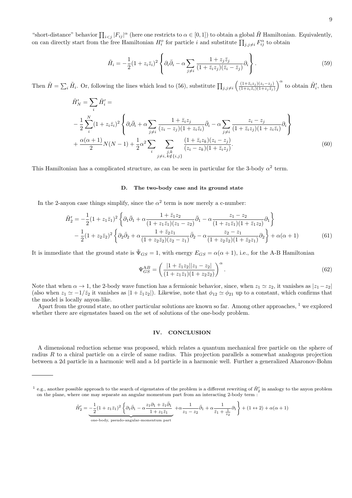"short-distance" behavior  $\prod_{i\leq j} |F_{ij}|^{\alpha}$  (here one restricts to  $\alpha \in [0,1]$ ) to obtain a global  $\tilde{H}$  Hamiltonian. Equivalently, on can directly start from the free Hamiltonian  $H_i^o$  for particle i and substitute  $\prod_{j,j\neq i} F_{ij}^\alpha$  to obtain

$$
\tilde{H}_i = -\frac{1}{2}(1+z_i\bar{z}_i)^2 \left\{\partial_i\bar{\partial}_i - \alpha \sum_{j\neq i} \frac{1+z_j\bar{z}_j}{(1+\bar{z}_iz_j)(\bar{z}_i-\bar{z}_j)}\partial_i\right\}.
$$
\n(59)

Then  $\tilde{H} = \sum_i \tilde{H}_i$ . Or, following the lines which lead to (56), substitute  $\prod_{j,j\neq i}$  $\left(\frac{(1+\bar{z}_iz_j)(z_i-z_j)}{(1+z_i\bar{z}_i)(1+z_j\bar{z}_j)}\right)^\alpha$  to obtain  $\tilde{H}'_i$ , then

$$
\tilde{H}'_{N} = \sum_{i} \tilde{H}'_{i} =
$$
\n
$$
-\frac{1}{2} \sum_{i}^{N} (1 + z_{i} \bar{z}_{i})^{2} \left\{ \partial_{i} \bar{\partial}_{i} + \alpha \sum_{j \neq i} \frac{1 + \bar{z}_{i} z_{j}}{(z_{i} - z_{j})(1 + z_{i} \bar{z}_{i})} \bar{\partial}_{i} - \alpha \sum_{j \neq i} \frac{z_{i} - z_{j}}{(1 + \bar{z}_{i} z_{j})(1 + z_{i} \bar{z}_{i})} \partial_{i} \right\}
$$
\n
$$
+\frac{\alpha(\alpha + 1)}{2} N(N - 1) + \frac{1}{2} \alpha^{2} \sum_{i} \sum_{\substack{j,k \\ j \neq i, k \notin \{i, j\}}} \frac{(1 + \bar{z}_{i} z_{k})(z_{i} - z_{j})}{(z_{i} - z_{k})(1 + \bar{z}_{i} z_{j})}.
$$
\n
$$
(60)
$$

This Hamiltonian has a complicated structure, as can be seen in particular for the 3-body  $\alpha^2$  term.

#### D. The two-body case and its ground state

In the 2-anyon case things simplify, since the  $\alpha^2$  term is now merely a c-number:

$$
\tilde{H}'_2 = -\frac{1}{2}(1+z_1\bar{z}_1)^2 \left\{ \partial_1\bar{\partial}_1 + \alpha \frac{1+\bar{z}_1z_2}{(1+z_1\bar{z}_1)(z_1-z_2)} \bar{\partial}_1 - \alpha \frac{z_1-z_2}{(1+z_1\bar{z}_1)(1+\bar{z}_1z_2)} \partial_1 \right\} \n- \frac{1}{2}(1+z_2\bar{z}_2)^2 \left\{ \partial_2\bar{\partial}_2 + \alpha \frac{1+\bar{z}_2z_1}{(1+z_2\bar{z}_2)(z_2-z_1)} \bar{\partial}_2 - \alpha \frac{z_2-z_1}{(1+z_2\bar{z}_2)(1+\bar{z}_2z_1)} \partial_2 \right\} + \alpha(\alpha+1)
$$
\n(61)

It is immediate that the ground state is  $\tilde{\Psi}_{GS} = 1$ , with energy  $E_{GS} = \alpha(\alpha + 1)$ , i.e., for the A-B Hamiltonian

$$
\Psi_{GS}^{AB} = \left(\frac{|1+\bar{z}_1 z_2||z_1 - z_2|}{(1+z_1\bar{z}_1)(1+z_2\bar{z}_2)}\right)^{\alpha}.
$$
\n(62)

Note that when  $\alpha \to 1$ , the 2-body wave function has a fermionic behavior, since, when  $z_1 \simeq z_2$ , it vanishes as  $|z_1 - z_2|$ (also when  $z_1 \simeq -1/\bar{z}_2$  it vanishes as  $|1 + \bar{z}_1 z_2|$ ). Likewise, note that  $\phi_{12} \simeq \phi_{21}$  up to a constant, which confirms that the model is locally anyon-like.

Apart from the ground state, no other particular solutions are known so far. Among other approaches,  $<sup>1</sup>$  we explored</sup> whether there are eigenstates based on the set of solutions of the one-body problem.

#### IV. CONCLUSION

A dimensional reduction scheme was proposed, which relates a quantum mechanical free particle on the sphere of radius R to a chiral particle on a circle of same radius. This projection parallels a somewhat analogous projection between a 2d particle in a harmonic well and a 1d particle in a harmonic well. Further a generalized Aharonov-Bohm

$$
\tilde{H}'_2=\underbrace{-\frac{1}{2}(1+z_1\bar{z}_1)^2\left\{\partial_1\bar{\partial}_1-\alpha\frac{z_1\partial_1+\bar{z}_1\bar{\partial}_1}{1+z_1\bar{z}_1}+ \alpha\frac{1}{z_1-z_2}\bar{\partial}_1+\alpha\frac{1}{\bar{z}_1+\frac{1}{z_2}}\partial_1\right\}}_{\text{one-body, pseudo-angular-momentum part}}+\alpha\frac{1}{z_1-z_2}\bar{\partial}_1+\alpha\frac{1}{\bar{z}_1+\frac{1}{z_2}}\partial_1\right\}+(1\leftrightarrow 2)+\alpha(\alpha+1)
$$

<sup>&</sup>lt;sup>1</sup> e.g., another possible approach to the search of eigenstates of the problem is a different rewriting of  $\tilde{H}'_2$  in analogy to the anyon problem on the plane, where one may separate an angular momentum part from an interacting 2-body term :